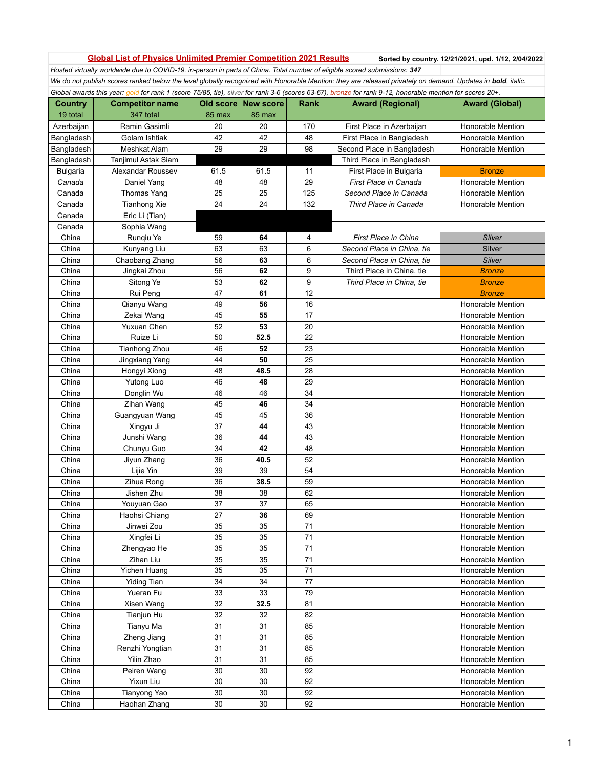## Global List of Physics Unlimited Premier Competition 2021 Results Sorted by country. 12/21/2021, upd. 1/12, 2/04/2022

*Hosted virtually worldwide due to COVID-19, in-person in parts of China. Total number of eligible scored submissions: 347* We do not publish scores ranked below the level globally recognized with Honorable Mention: they are released privately on demand. Updates in **bold**, italic. *Global awards this year: gold for rank 1 (score 75/85, tie), silver for rank 3-6 (scores 63-67), bronze for rank 9-12, honorable mention for scores 20+.* 

| <b>Country</b>  | <b>ovar amarao imo yoar. <u>gold</u> for family pools for so, ilo, c</b> heer for family of pools of or fit, wronzo<br><b>Competitor name</b> |        | Old score New score | Rank | <b>Award (Regional)</b>     | <b>Award (Global)</b>    |
|-----------------|-----------------------------------------------------------------------------------------------------------------------------------------------|--------|---------------------|------|-----------------------------|--------------------------|
| 19 total        | 347 total                                                                                                                                     | 85 max | 85 max              |      |                             |                          |
| Azerbaijan      | Ramin Gasimli                                                                                                                                 | 20     | 20                  | 170  | First Place in Azerbaijan   | <b>Honorable Mention</b> |
| Bangladesh      | Golam Ishtiak                                                                                                                                 | 42     | 42                  | 48   | First Place in Bangladesh   | Honorable Mention        |
| Bangladesh      | Meshkat Alam                                                                                                                                  | 29     | 29                  | 98   |                             | <b>Honorable Mention</b> |
|                 |                                                                                                                                               |        |                     |      | Second Place in Bangladesh  |                          |
| Bangladesh      | Tanjimul Astak Siam                                                                                                                           | 61.5   |                     |      | Third Place in Bangladesh   |                          |
| <b>Bulgaria</b> | Alexandar Roussev                                                                                                                             |        | 61.5                | 11   | First Place in Bulgaria     | <b>Bronze</b>            |
| Canada          | Daniel Yang                                                                                                                                   | 48     | 48                  | 29   | First Place in Canada       | Honorable Mention        |
| Canada          | Thomas Yang                                                                                                                                   | 25     | 25                  | 125  | Second Place in Canada      | <b>Honorable Mention</b> |
| Canada          | Tianhong Xie                                                                                                                                  | 24     | 24                  | 132  | Third Place in Canada       | <b>Honorable Mention</b> |
| Canada          | Eric Li (Tian)                                                                                                                                |        |                     |      |                             |                          |
| Canada          | Sophia Wang                                                                                                                                   |        |                     |      |                             |                          |
| China           | Runqiu Ye                                                                                                                                     | 59     | 64                  | 4    | <b>First Place in China</b> | Silver                   |
| China           | Kunyang Liu                                                                                                                                   | 63     | 63                  | 6    | Second Place in China, tie  | Silver                   |
| China           | Chaobang Zhang                                                                                                                                | 56     | 63                  | 6    | Second Place in China, tie  | Silver                   |
| China           | Jingkai Zhou                                                                                                                                  | 56     | 62                  | 9    | Third Place in China, tie   | <b>Bronze</b>            |
| China           | Sitong Ye                                                                                                                                     | 53     | 62                  | 9    | Third Place in China, tie   | <b>Bronze</b>            |
| China           | Rui Peng                                                                                                                                      | 47     | 61                  | 12   |                             | <b>Bronze</b>            |
| China           | Qianyu Wang                                                                                                                                   | 49     | 56                  | 16   |                             | <b>Honorable Mention</b> |
| China           | Zekai Wang                                                                                                                                    | 45     | 55                  | 17   |                             | <b>Honorable Mention</b> |
| China           | Yuxuan Chen                                                                                                                                   | 52     | 53                  | 20   |                             | <b>Honorable Mention</b> |
| China           | Ruize Li                                                                                                                                      | 50     | 52.5                | 22   |                             | <b>Honorable Mention</b> |
| China           | Tianhong Zhou                                                                                                                                 | 46     | 52                  | 23   |                             | <b>Honorable Mention</b> |
| China           | Jingxiang Yang                                                                                                                                | 44     | 50                  | 25   |                             | <b>Honorable Mention</b> |
| China           | Hongyi Xiong                                                                                                                                  | 48     | 48.5                | 28   |                             | Honorable Mention        |
| China           | Yutong Luo                                                                                                                                    | 46     | 48                  | 29   |                             | <b>Honorable Mention</b> |
| China           | Donglin Wu                                                                                                                                    | 46     | 46                  | 34   |                             | <b>Honorable Mention</b> |
| China           | Zihan Wang                                                                                                                                    | 45     | 46                  | 34   |                             | <b>Honorable Mention</b> |
| China           | Guangyuan Wang                                                                                                                                | 45     | 45                  | 36   |                             | <b>Honorable Mention</b> |
| China           | Xingyu Ji                                                                                                                                     | 37     | 44                  | 43   |                             | <b>Honorable Mention</b> |
| China           | Junshi Wang                                                                                                                                   | 36     | 44                  | 43   |                             | <b>Honorable Mention</b> |
| China           | Chunyu Guo                                                                                                                                    | 34     | 42                  | 48   |                             | <b>Honorable Mention</b> |
| China           | Jiyun Zhang                                                                                                                                   | 36     | 40.5                | 52   |                             | Honorable Mention        |
| China           | Lijie Yin                                                                                                                                     | 39     | 39                  | 54   |                             | <b>Honorable Mention</b> |
| China           | Zihua Rong                                                                                                                                    | 36     | 38.5                | 59   |                             | <b>Honorable Mention</b> |
| China           | Jishen Zhu                                                                                                                                    | 38     | 38                  | 62   |                             | <b>Honorable Mention</b> |
| China           | Youyuan Gao                                                                                                                                   | 37     | 37                  | 65   |                             | <b>Honorable Mention</b> |
| China           | Haohsi Chiang                                                                                                                                 | 27     | 36                  | 69   |                             | <b>Honorable Mention</b> |
| China           | Jinwei Zou                                                                                                                                    | 35     | 35                  | 71   |                             | Honorable Mention        |
| China           | Xingfei Li                                                                                                                                    | 35     | 35                  | 71   |                             | Honorable Mention        |
| China           | Zhengyao He                                                                                                                                   | 35     | 35                  | 71   |                             | Honorable Mention        |
| China           | Zihan Liu                                                                                                                                     | 35     | 35                  | 71   |                             | Honorable Mention        |
| China           | Yichen Huang                                                                                                                                  | 35     | 35                  | 71   |                             | Honorable Mention        |
| China           | <b>Yiding Tian</b>                                                                                                                            | 34     | 34                  | 77   |                             | Honorable Mention        |
| China           | Yueran Fu                                                                                                                                     | 33     | 33                  | 79   |                             | <b>Honorable Mention</b> |
| China           | Xisen Wang                                                                                                                                    | 32     | 32.5                | 81   |                             | <b>Honorable Mention</b> |
| China           | Tianjun Hu                                                                                                                                    | 32     | 32                  | 82   |                             | Honorable Mention        |
| China           | Tianyu Ma                                                                                                                                     | 31     | 31                  | 85   |                             | Honorable Mention        |
| China           | Zheng Jiang                                                                                                                                   | 31     | 31                  | 85   |                             | <b>Honorable Mention</b> |
| China           | Renzhi Yongtian                                                                                                                               | 31     | 31                  | 85   |                             | Honorable Mention        |
| China           | Yilin Zhao                                                                                                                                    | 31     | 31                  | 85   |                             | Honorable Mention        |
|                 |                                                                                                                                               |        |                     |      |                             |                          |
| China           | Peiren Wang                                                                                                                                   | 30     | 30                  | 92   |                             | Honorable Mention        |
| China           | Yixun Liu                                                                                                                                     | 30     | 30                  | 92   |                             | Honorable Mention        |
| China           | Tianyong Yao                                                                                                                                  | 30     | 30                  | 92   |                             | Honorable Mention        |
| China           | Haohan Zhang                                                                                                                                  | 30     | 30                  | 92   |                             | Honorable Mention        |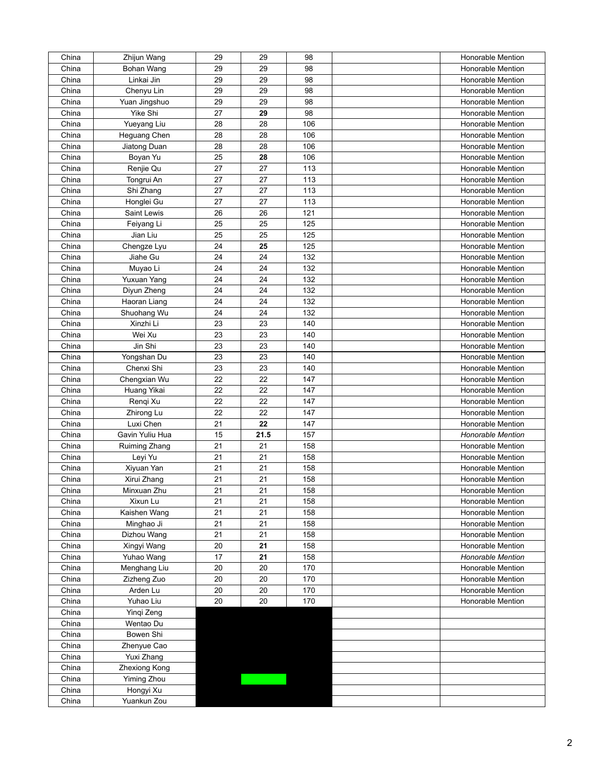| China | Zhijun Wang     | 29 | 29   | 98  | Honorable Mention        |
|-------|-----------------|----|------|-----|--------------------------|
| China | Bohan Wang      | 29 | 29   | 98  | <b>Honorable Mention</b> |
| China | Linkai Jin      | 29 | 29   | 98  | <b>Honorable Mention</b> |
| China | Chenyu Lin      | 29 | 29   | 98  | Honorable Mention        |
| China | Yuan Jingshuo   | 29 | 29   | 98  | Honorable Mention        |
| China | Yike Shi        | 27 | 29   | 98  | Honorable Mention        |
| China | Yueyang Liu     | 28 | 28   | 106 | Honorable Mention        |
| China | Heguang Chen    | 28 | 28   | 106 | Honorable Mention        |
| China | Jiatong Duan    | 28 | 28   | 106 | Honorable Mention        |
| China | Boyan Yu        | 25 | 28   | 106 | Honorable Mention        |
| China | Renjie Qu       | 27 | 27   | 113 | Honorable Mention        |
| China | Tongrui An      | 27 | 27   | 113 | <b>Honorable Mention</b> |
| China | Shi Zhang       | 27 | 27   | 113 | Honorable Mention        |
| China | Honglei Gu      | 27 | 27   | 113 | Honorable Mention        |
| China | Saint Lewis     | 26 | 26   | 121 | Honorable Mention        |
| China | Feiyang Li      | 25 | 25   | 125 | Honorable Mention        |
| China | Jian Liu        | 25 | 25   | 125 | Honorable Mention        |
| China | Chengze Lyu     | 24 | 25   | 125 | Honorable Mention        |
| China | Jiahe Gu        | 24 | 24   | 132 | Honorable Mention        |
|       |                 |    |      |     | Honorable Mention        |
| China | Muyao Li        | 24 | 24   | 132 |                          |
| China | Yuxuan Yang     | 24 | 24   | 132 | Honorable Mention        |
| China | Diyun Zheng     | 24 | 24   | 132 | Honorable Mention        |
| China | Haoran Liang    | 24 | 24   | 132 | <b>Honorable Mention</b> |
| China | Shuohang Wu     | 24 | 24   | 132 | Honorable Mention        |
| China | Xinzhi Li       | 23 | 23   | 140 | Honorable Mention        |
| China | Wei Xu          | 23 | 23   | 140 | Honorable Mention        |
| China | Jin Shi         | 23 | 23   | 140 | Honorable Mention        |
| China | Yongshan Du     | 23 | 23   | 140 | Honorable Mention        |
| China | Chenxi Shi      | 23 | 23   | 140 | Honorable Mention        |
| China | Chengxian Wu    | 22 | 22   | 147 | Honorable Mention        |
| China | Huang Yikai     | 22 | 22   | 147 | Honorable Mention        |
| China | Rengi Xu        | 22 | 22   | 147 | Honorable Mention        |
| China | Zhirong Lu      | 22 | 22   | 147 | Honorable Mention        |
| China | Luxi Chen       | 21 | 22   | 147 | Honorable Mention        |
| China | Gavin Yuliu Hua | 15 | 21.5 | 157 | <b>Honorable Mention</b> |
| China | Ruiming Zhang   | 21 | 21   | 158 | Honorable Mention        |
| China | Leyi Yu         | 21 | 21   | 158 | Honorable Mention        |
| China | Xiyuan Yan      | 21 | 21   | 158 | Honorable Mention        |
| China | Xirui Zhang     | 21 | 21   | 158 | Honorable Mention        |
| China | Minxuan Zhu     | 21 | 21   | 158 | Honorable Mention        |
| China | Xixun Lu        | 21 | 21   | 158 | Honorable Mention        |
| China | Kaishen Wang    | 21 | 21   | 158 | Honorable Mention        |
| China | Minghao Ji      | 21 | 21   | 158 | Honorable Mention        |
| China | Dizhou Wang     | 21 | 21   | 158 | Honorable Mention        |
| China | Xingyi Wang     | 20 | 21   | 158 | <b>Honorable Mention</b> |
| China | Yuhao Wang      | 17 | 21   | 158 | <b>Honorable Mention</b> |
| China | Menghang Liu    | 20 | 20   | 170 | Honorable Mention        |
| China | Zizheng Zuo     | 20 | 20   | 170 | Honorable Mention        |
| China | Arden Lu        | 20 | 20   | 170 | Honorable Mention        |
| China | Yuhao Liu       | 20 | 20   | 170 | Honorable Mention        |
| China | Yinqi Zeng      |    |      |     |                          |
| China | Wentao Du       |    |      |     |                          |
| China | Bowen Shi       |    |      |     |                          |
| China | Zhenyue Cao     |    |      |     |                          |
| China | Yuxi Zhang      |    |      |     |                          |
| China | Zhexiong Kong   |    |      |     |                          |
| China | Yiming Zhou     |    |      |     |                          |
| China | Hongyi Xu       |    |      |     |                          |
| China | Yuankun Zou     |    |      |     |                          |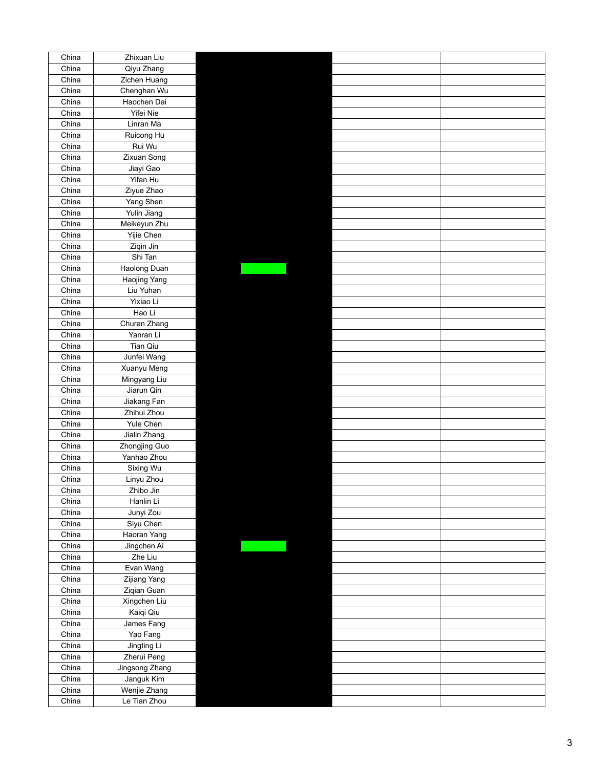| China          | Zhixuan Liu           |  |  |
|----------------|-----------------------|--|--|
| China          | Qiyu Zhang            |  |  |
| China          | Zichen Huang          |  |  |
| China          | Chenghan Wu           |  |  |
| China          | Haochen Dai           |  |  |
| China          | Yifei Nie             |  |  |
| China          | Linran Ma             |  |  |
| China          | Ruicong Hu            |  |  |
| China          | Rui Wu                |  |  |
| China          | Zixuan Song           |  |  |
| China          |                       |  |  |
| China          | Jiayi Gao<br>Yifan Hu |  |  |
|                |                       |  |  |
| China          | Ziyue Zhao            |  |  |
| China          | Yang Shen             |  |  |
| China          | Yulin Jiang           |  |  |
| China          | Meikeyun Zhu          |  |  |
| China          | Yijie Chen            |  |  |
| China          | Ziqin Jin             |  |  |
| China          | Shi Tan               |  |  |
| China          | Haolong Duan          |  |  |
| China          | Haojing Yang          |  |  |
| China          | Liu Yuhan             |  |  |
| China          | Yixiao Li             |  |  |
| China          | Hao Li                |  |  |
| China          | Churan Zhang          |  |  |
| China          | Yanran Li             |  |  |
| China          | Tian Qiu              |  |  |
| China          | Junfei Wang           |  |  |
| China          | Xuanyu Meng           |  |  |
| China          | Mingyang Liu          |  |  |
| China          | Jiarun Qin            |  |  |
| China          | Jiakang Fan           |  |  |
| China          | Zhihui Zhou           |  |  |
| China          | Yule Chen             |  |  |
| China          | Jialin Zhang          |  |  |
|                |                       |  |  |
| China<br>China | Zhongjing Guo         |  |  |
|                | Yanhao Zhou           |  |  |
| China          | Sixing Wu             |  |  |
| China          | Linyu Zhou            |  |  |
| China          | Zhibo Jin             |  |  |
| China          | Hanlin Li             |  |  |
| China          | Junyi Zou             |  |  |
| China          | Siyu Chen             |  |  |
| China          | Haoran Yang           |  |  |
| China          | Jingchen Ai           |  |  |
| China          | Zhe Liu               |  |  |
| China          | Evan Wang             |  |  |
| China          | Zijiang Yang          |  |  |
| China          | Ziqian Guan           |  |  |
| China          | Xingchen Liu          |  |  |
| China          | Kaiqi Qiu             |  |  |
| China          | James Fang            |  |  |
| China          | Yao Fang              |  |  |
| China          | Jingting Li           |  |  |
| China          | Zherui Peng           |  |  |
| China          | Jingsong Zhang        |  |  |
| China          | Janguk Kim            |  |  |
| China          | Wenjie Zhang          |  |  |
| China          | Le Tian Zhou          |  |  |
|                |                       |  |  |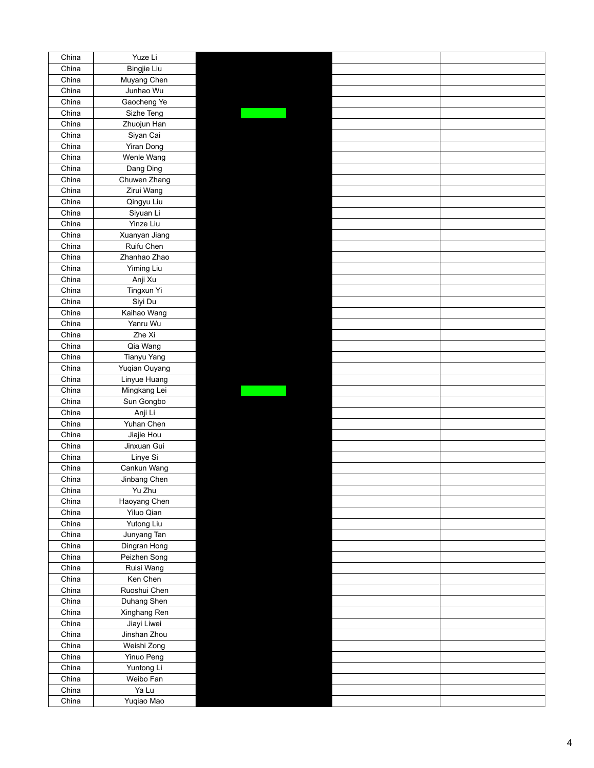| China | Yuze Li                    |  |  |
|-------|----------------------------|--|--|
| China | <b>Bingjie Liu</b>         |  |  |
| China | Muyang Chen                |  |  |
| China | Junhao Wu                  |  |  |
| China | Gaocheng Ye                |  |  |
| China | Sizhe Teng                 |  |  |
| China | Zhuojun Han                |  |  |
| China | Siyan Cai                  |  |  |
| China | Yiran Dong                 |  |  |
| China | Wenle Wang                 |  |  |
| China | Dang Ding                  |  |  |
| China | Chuwen Zhang               |  |  |
| China |                            |  |  |
|       | Zirui Wang                 |  |  |
| China | Qingyu Liu                 |  |  |
| China | Siyuan Li                  |  |  |
| China | Yinze Liu                  |  |  |
| China | Xuanyan Jiang              |  |  |
| China | Ruifu Chen                 |  |  |
| China | Zhanhao Zhao               |  |  |
| China | Yiming Liu                 |  |  |
| China | Anji Xu                    |  |  |
| China | Tingxun Yi                 |  |  |
| China | Siyi Du                    |  |  |
| China | Kaihao Wang                |  |  |
| China | Yanru Wu                   |  |  |
| China | Zhe Xi                     |  |  |
| China | Qia Wang                   |  |  |
| China | Tianyu Yang                |  |  |
| China | Yuqian Ouyang              |  |  |
| China | Linyue Huang               |  |  |
| China | Mingkang Lei               |  |  |
| China | Sun Gongbo                 |  |  |
| China | Anji Li                    |  |  |
| China | Yuhan Chen                 |  |  |
| China | Jiajie Hou                 |  |  |
| China | Jinxuan Gui                |  |  |
| China | Linye Si                   |  |  |
| China | Cankun Wang                |  |  |
| China | Jinbang Chen               |  |  |
| China | Yu Zhu                     |  |  |
| China |                            |  |  |
| China | Haoyang Chen<br>Yiluo Qian |  |  |
| China | Yutong Liu                 |  |  |
|       |                            |  |  |
| China | Junyang Tan                |  |  |
| China | Dingran Hong               |  |  |
| China | Peizhen Song               |  |  |
| China | Ruisi Wang                 |  |  |
| China | Ken Chen                   |  |  |
| China | Ruoshui Chen               |  |  |
| China | Duhang Shen                |  |  |
| China | Xinghang Ren               |  |  |
| China | Jiayi Liwei                |  |  |
| China | Jinshan Zhou               |  |  |
| China | Weishi Zong                |  |  |
| China | Yinuo Peng                 |  |  |
| China | Yuntong Li                 |  |  |
| China | Weibo Fan                  |  |  |
| China | Ya Lu                      |  |  |
| China | Yuqiao Mao                 |  |  |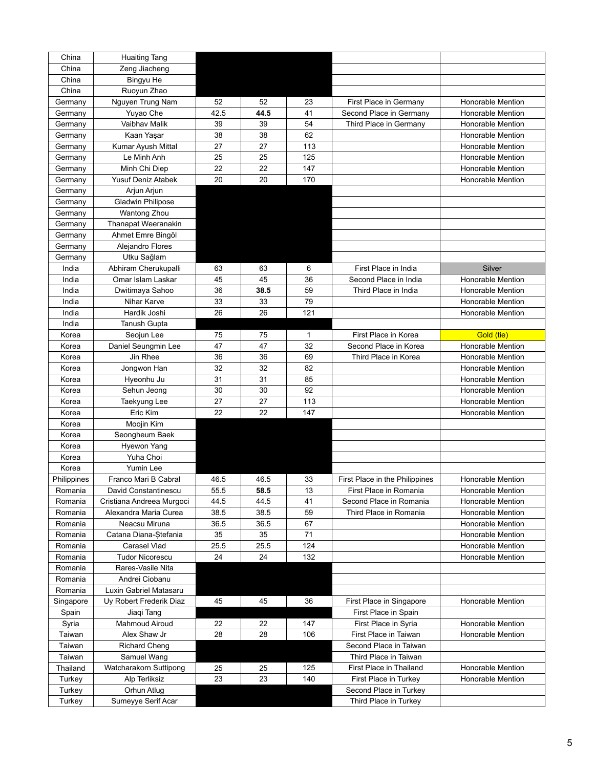| China       | <b>Huaiting Tang</b>      |      |      |     |                                |                          |
|-------------|---------------------------|------|------|-----|--------------------------------|--------------------------|
| China       | Zeng Jiacheng             |      |      |     |                                |                          |
| China       | Bingyu He                 |      |      |     |                                |                          |
| China       | Ruoyun Zhao               |      |      |     |                                |                          |
| Germany     | Nguyen Trung Nam          | 52   | 52   | 23  | First Place in Germany         | Honorable Mention        |
| Germany     | Yuyao Che                 | 42.5 | 44.5 | 41  | Second Place in Germany        | <b>Honorable Mention</b> |
| Germany     | Vaibhav Malik             | 39   | 39   | 54  | Third Place in Germany         | <b>Honorable Mention</b> |
| Germany     | Kaan Yaşar                | 38   | 38   | 62  |                                | Honorable Mention        |
| Germany     | Kumar Ayush Mittal        | 27   | 27   | 113 |                                | Honorable Mention        |
| Germany     | Le Minh Anh               | 25   | 25   | 125 |                                | Honorable Mention        |
|             | Minh Chi Diep             | 22   | 22   | 147 |                                | <b>Honorable Mention</b> |
| Germany     | <b>Yusuf Deniz Atabek</b> | 20   | 20   | 170 |                                |                          |
| Germany     |                           |      |      |     |                                | <b>Honorable Mention</b> |
| Germany     | Arjun Arjun               |      |      |     |                                |                          |
| Germany     | Gladwin Philipose         |      |      |     |                                |                          |
| Germany     | Wantong Zhou              |      |      |     |                                |                          |
| Germany     | Thanapat Weeranakin       |      |      |     |                                |                          |
| Germany     | Ahmet Emre Bingöl         |      |      |     |                                |                          |
| Germany     | Alejandro Flores          |      |      |     |                                |                          |
| Germany     | Utku Sağlam               |      |      |     |                                |                          |
| India       | Abhiram Cherukupalli      | 63   | 63   | 6   | First Place in India           | Silver                   |
| India       | Omar Islam Laskar         | 45   | 45   | 36  | Second Place in India          | Honorable Mention        |
| India       | Dwitimaya Sahoo           | 36   | 38.5 | 59  | Third Place in India           | <b>Honorable Mention</b> |
| India       | Nihar Karve               | 33   | 33   | 79  |                                | <b>Honorable Mention</b> |
| India       | Hardik Joshi              | 26   | 26   | 121 |                                | Honorable Mention        |
| India       | Tanush Gupta              |      |      |     |                                |                          |
| Korea       | Seojun Lee                | 75   | 75   | 1   | First Place in Korea           | Gold (tie)               |
| Korea       | Daniel Seungmin Lee       | 47   | 47   | 32  | Second Place in Korea          | <b>Honorable Mention</b> |
| Korea       | Jin Rhee                  | 36   | 36   | 69  | Third Place in Korea           | <b>Honorable Mention</b> |
| Korea       | Jongwon Han               | 32   | 32   | 82  |                                | <b>Honorable Mention</b> |
| Korea       | Hyeonhu Ju                | 31   | 31   | 85  |                                | Honorable Mention        |
| Korea       | Sehun Jeong               | 30   | 30   | 92  |                                | Honorable Mention        |
| Korea       | Taekyung Lee              | 27   | 27   | 113 |                                | Honorable Mention        |
| Korea       | Eric Kim                  | 22   | 22   | 147 |                                | <b>Honorable Mention</b> |
| Korea       | Moojin Kim                |      |      |     |                                |                          |
| Korea       | Seongheum Baek            |      |      |     |                                |                          |
|             |                           |      |      |     |                                |                          |
| Korea       | Hyewon Yang               |      |      |     |                                |                          |
| Korea       | Yuha Choi                 |      |      |     |                                |                          |
| Korea       | Yumin Lee                 |      |      |     |                                |                          |
| Philippines | Franco Mari B Cabral      | 46.5 | 46.5 | 33  | First Place in the Philippines | <b>Honorable Mention</b> |
| Romania     | David Constantinescu      | 55.5 | 58.5 | 13  | First Place in Romania         | Honorable Mention        |
| Romania     | Cristiana Andreea Murgoci | 44.5 | 44.5 | 41  | Second Place in Romania        | Honorable Mention        |
| Romania     | Alexandra Maria Curea     | 38.5 | 38.5 | 59  | Third Place in Romania         | Honorable Mention        |
| Romania     | Neacsu Miruna             | 36.5 | 36.5 | 67  |                                | Honorable Mention        |
| Romania     | Catana Diana-Stefania     | 35   | 35   | 71  |                                | Honorable Mention        |
| Romania     | Carasel Vlad              | 25.5 | 25.5 | 124 |                                | Honorable Mention        |
| Romania     | <b>Tudor Nicorescu</b>    | 24   | 24   | 132 |                                | <b>Honorable Mention</b> |
| Romania     | Rares-Vasile Nita         |      |      |     |                                |                          |
| Romania     | Andrei Ciobanu            |      |      |     |                                |                          |
| Romania     | Luxin Gabriel Matasaru    |      |      |     |                                |                          |
| Singapore   | Uy Robert Frederik Diaz   | 45   | 45   | 36  | First Place in Singapore       | Honorable Mention        |
| Spain       | Jiaqi Tang                |      |      |     | First Place in Spain           |                          |
| Syria       | <b>Mahmoud Airoud</b>     | 22   | 22   | 147 | First Place in Syria           | Honorable Mention        |
| Taiwan      | Alex Shaw Jr              | 28   | 28   | 106 | First Place in Taiwan          | Honorable Mention        |
| Taiwan      | <b>Richard Cheng</b>      |      |      |     | Second Place in Taiwan         |                          |
| Taiwan      | Samuel Wang               |      |      |     | Third Place in Taiwan          |                          |
| Thailand    | Watcharakorn Suttipong    | 25   | 25   | 125 | First Place in Thailand        | Honorable Mention        |
| Turkey      | Alp Terliksiz             | 23   | 23   | 140 | First Place in Turkey          | Honorable Mention        |
| Turkey      | Orhun Atlug               |      |      |     | Second Place in Turkey         |                          |
|             |                           |      |      |     |                                |                          |
| Turkey      | Sumeyye Serif Acar        |      |      |     | Third Place in Turkey          |                          |